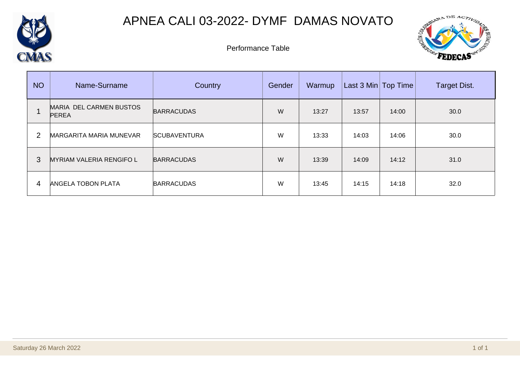

## APNEA CALI 03-2022- DYMF DAMAS NOVATO



Performance Table

| <b>NO</b>      | Name-Surname                            | <b>Country</b>      | Gender | Warmup | Last 3 Min   Top Time |       | <b>Target Dist.</b> |
|----------------|-----------------------------------------|---------------------|--------|--------|-----------------------|-------|---------------------|
|                | MARIA DEL CARMEN BUSTOS<br><b>PEREA</b> | <b>BARRACUDAS</b>   | W      | 13:27  | 13:57                 | 14:00 | 30.0                |
| $\overline{2}$ | MARGARITA MARIA MUNEVAR                 | <b>SCUBAVENTURA</b> | W      | 13:33  | 14:03                 | 14:06 | 30.0                |
| 3              | <b>MYRIAM VALERIA RENGIFO L</b>         | <b>BARRACUDAS</b>   | W      | 13:39  | 14:09                 | 14:12 | 31.0                |
| 4              | <b>ANGELA TOBON PLATA</b>               | <b>BARRACUDAS</b>   | W      | 13:45  | 14:15                 | 14:18 | 32.0                |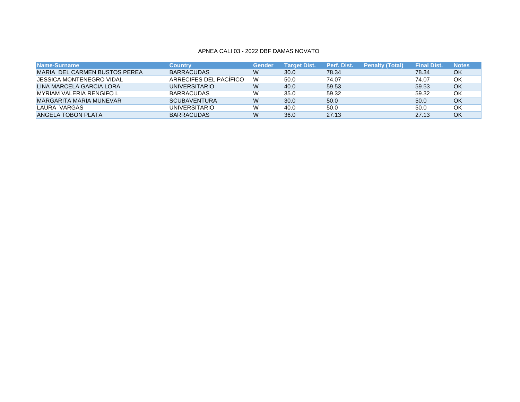#### APNEA CALI 03 - 2022 DBF DAMAS NOVATO

| ا Name-Surname ا                | Country                | Gender | <b>Target Dist.</b> | Perf. Dist. | <b>Penalty (Total)</b> | <b>Final Dist</b> | <b>Notes</b> |
|---------------------------------|------------------------|--------|---------------------|-------------|------------------------|-------------------|--------------|
| MARIA DEL CARMEN BUSTOS PEREA   | <b>BARRACUDAS</b>      | W      | 30.0                | 78.34       |                        | 78.34             | OK           |
| <b>JESSICA MONTENEGRO VIDAL</b> | ARRECIFES DEL PACÍFICO | W      | 50.0                | 74.07       |                        | 74.07             | ΟK           |
| LINA MARCELA GARCIA LORA        | <b>UNIVERSITARIO</b>   | W      | 40.0                | 59.53       |                        | 59.53             | OK           |
| <b>MYRIAM VALERIA RENGIFO L</b> | <b>BARRACUDAS</b>      | W      | 35.0                | 59.32       |                        | 59.32             | ΟK           |
| MARGARITA MARIA MUNEVAR         | <b>SCUBAVENTURA</b>    | W      | 30.0                | 50.0        |                        | 50.0              | OK           |
| LAURA VARGAS                    | <b>UNIVERSITARIO</b>   | W      | 40.0                | 50.0        |                        | 50.0              | OK           |
| <b>ANGELA TOBON PLATA</b>       | <b>BARRACUDAS</b>      | W      | 36.0                | 27.13       |                        | 27.13             | OK           |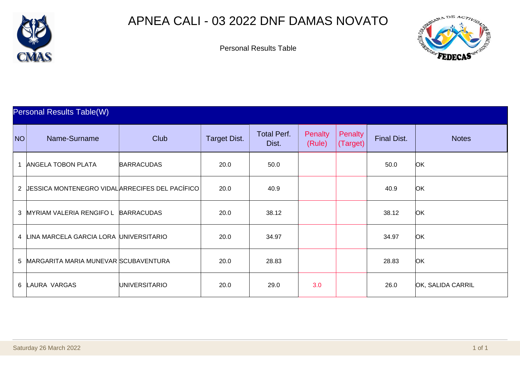

## APNEA CALI - 03 2022 DNF DAMAS NOVATO



|    | <b>Personal Results Table(W)</b>                      |                   |                     |                             |                          |                     |                    |                   |  |  |  |
|----|-------------------------------------------------------|-------------------|---------------------|-----------------------------|--------------------------|---------------------|--------------------|-------------------|--|--|--|
| NO | Name-Surname                                          | <b>Club</b>       | <b>Target Dist.</b> | <b>Total Perf.</b><br>Dist. | <b>Penalty</b><br>(Rule) | Penalty<br>(Target) | <b>Final Dist.</b> | <b>Notes</b>      |  |  |  |
| 1  | <b>ANGELA TOBON PLATA</b>                             | <b>BARRACUDAS</b> | 20.0                | 50.0                        |                          |                     | 50.0               | <b>OK</b>         |  |  |  |
| 2  | <b>JESSICA MONTENEGRO VIDALARRECIFES DEL PACÍFICO</b> |                   | 20.0                | 40.9                        |                          |                     | 40.9               | <b>OK</b>         |  |  |  |
|    | 3 MYRIAM VALERIA RENGIFO L BARRACUDAS                 |                   | 20.0                | 38.12                       |                          |                     | 38.12              | <b>OK</b>         |  |  |  |
|    | 4 LINA MARCELA GARCIA LORA UNIVERSITARIO              |                   | 20.0                | 34.97                       |                          |                     | 34.97              | <b>OK</b>         |  |  |  |
|    | 5 MARGARITA MARIA MUNEVAR SCUBAVENTURA                |                   | 20.0                | 28.83                       |                          |                     | 28.83              | <b>OK</b>         |  |  |  |
|    | 6 LAURA VARGAS                                        | UNIVERSITARIO     | 20.0                | 29.0                        | 3.0                      |                     | 26.0               | OK, SALIDA CARRIL |  |  |  |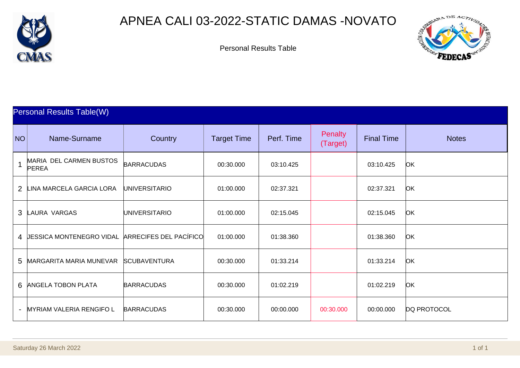

## APNEA CALI 03-2022-STATIC DAMAS -NOVATO



|                | <b>Personal Results Table(W)</b>                  |                      |                    |            |                            |                   |              |  |  |  |  |
|----------------|---------------------------------------------------|----------------------|--------------------|------------|----------------------------|-------------------|--------------|--|--|--|--|
| NO             | Name-Surname                                      | Country              | <b>Target Time</b> | Perf. Time | <b>Penalty</b><br>(Target) | <b>Final Time</b> | <b>Notes</b> |  |  |  |  |
|                | MARIA DEL CARMEN BUSTOS<br><b>PEREA</b>           | <b>BARRACUDAS</b>    | 00:30.000          | 03:10.425  |                            | 03:10.425         | <b>OK</b>    |  |  |  |  |
| $\overline{2}$ | LINA MARCELA GARCIA LORA                          | <b>UNIVERSITARIO</b> | 01:00.000          | 02:37.321  |                            | 02:37.321         | <b>OK</b>    |  |  |  |  |
|                | 3 LAURA VARGAS                                    | <b>UNIVERSITARIO</b> | 01:00.000          | 02:15.045  |                            | 02:15.045         | <b>OK</b>    |  |  |  |  |
|                | 4 JESSICA MONTENEGRO VIDAL ARRECIFES DEL PACÍFICO |                      | 01:00.000          | 01:38.360  |                            | 01:38.360         | <b>OK</b>    |  |  |  |  |
| 5              | MARGARITA MARIA MUNEVAR                           | <b>SCUBAVENTURA</b>  | 00:30.000          | 01:33.214  |                            | 01:33.214         | <b>OK</b>    |  |  |  |  |
|                | 6 ANGELA TOBON PLATA                              | <b>BARRACUDAS</b>    | 00:30.000          | 01:02.219  |                            | 01:02.219         | <b>OK</b>    |  |  |  |  |
|                | <b>MYRIAM VALERIA RENGIFO L</b>                   | <b>BARRACUDAS</b>    | 00:30.000          | 00:00.000  | 00:30.000                  | 00:00.000         | DQ PROTOCOL  |  |  |  |  |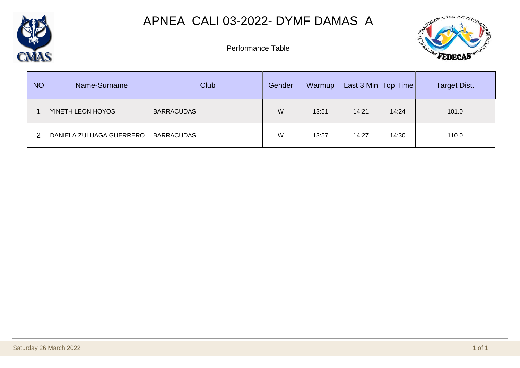

# APNEA CALI 03-2022- DYMF DAMAS A



Performance Table

| <b>NO</b> | Name-Surname             | Club              | Gender | Warmup | Last 3 Min   Top Time |       | <b>Target Dist.</b> |
|-----------|--------------------------|-------------------|--------|--------|-----------------------|-------|---------------------|
|           | <b>NINETH LEON HOYOS</b> | <b>BARRACUDAS</b> | W      | 13:51  | 14:21                 | 14:24 | 101.0               |
|           | DANIELA ZULUAGA GUERRERO | <b>BARRACUDAS</b> | W      | 13:57  | 14:27                 | 14:30 | 110.0               |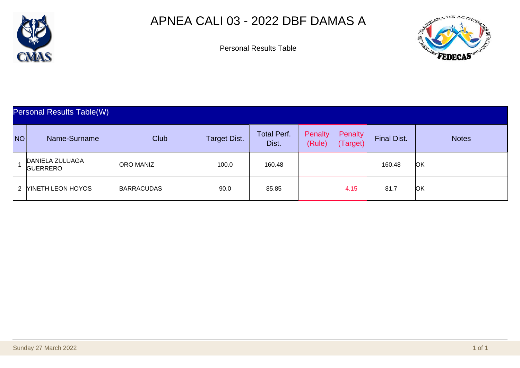

# APNEA CALI 03 - 2022 DBF DAMAS A



|    | Personal Results Table(W)                 |                   |                     |                             |                   |                     |                    |              |  |  |  |
|----|-------------------------------------------|-------------------|---------------------|-----------------------------|-------------------|---------------------|--------------------|--------------|--|--|--|
| NO | Name-Surname                              | Club              | <b>Target Dist.</b> | <b>Total Perf.</b><br>Dist. | Penalty<br>(Rule) | Penalty<br>(Target) | <b>Final Dist.</b> | <b>Notes</b> |  |  |  |
|    | <b>DANIELA ZULUAGA</b><br><b>GUERRERO</b> | <b>ORO MANIZ</b>  | 100.0               | 160.48                      |                   |                     | 160.48             | <b>OK</b>    |  |  |  |
|    | 2 MINETH LEON HOYOS                       | <b>BARRACUDAS</b> | 90.0                | 85.85                       |                   | 4.15                | 81.7               | ЮK           |  |  |  |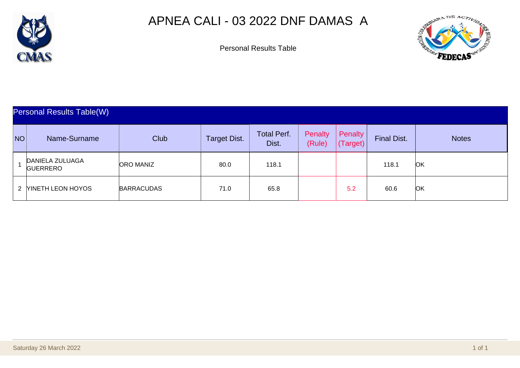

# APNEA CALI - 03 2022 DNF DAMAS A



| <b>Personal Results Table(W)</b> |                                    |                   |                     |                             |                   |                     |                    |              |  |  |
|----------------------------------|------------------------------------|-------------------|---------------------|-----------------------------|-------------------|---------------------|--------------------|--------------|--|--|
| NO <sub>1</sub>                  | Name-Surname                       | <b>Club</b>       | <b>Target Dist.</b> | <b>Total Perf.</b><br>Dist. | Penalty<br>(Rule) | Penalty<br>(Target) | <b>Final Dist.</b> | <b>Notes</b> |  |  |
|                                  | DANIELA ZULUAGA<br><b>GUERRERO</b> | <b>ORO MANIZ</b>  | 80.0                | 118.1                       |                   |                     | 118.1              | ЮK           |  |  |
|                                  | 2 MINETH LEON HOYOS                | <b>BARRACUDAS</b> | 71.0                | 65.8                        |                   | 5.2                 | 60.6               | ЮK           |  |  |